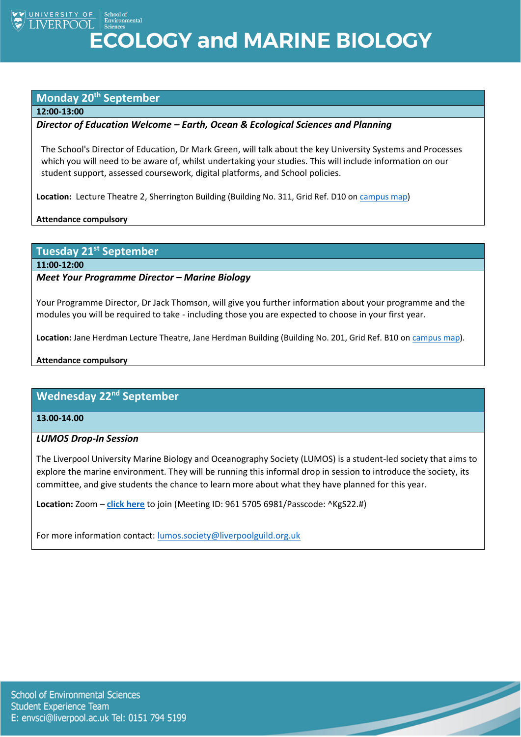UNIVERSITY OF School of Environmental **ECOLOGY and MARINE BIOLOGY** 

#### **Monday 20th September**

#### **12:00-13:00**

#### *Director of Education Welcome – Earth, Ocean & Ecological Sciences and Planning*

The School's Director of Education, Dr Mark Green, will talk about the key University Systems and Processes which you will need to be aware of, whilst undertaking your studies. This will include information on our student support, assessed coursework, digital platforms, and School policies.

**Location:** Lecture Theatre 2, Sherrington Building (Building No. 311, Grid Ref. D10 on [campus map\)](https://www.liverpool.ac.uk/media/livacuk/maps/Campus,Map,2020_0903.pdf)

**Attendance compulsory**

#### **Tuesday 21st September**

**11:00-12:00**

#### *Meet Your Programme Director – Marine Biology*

Your Programme Director, Dr Jack Thomson, will give you further information about your programme and the modules you will be required to take - including those you are expected to choose in your first year.

**Location:** Jane Herdman Lecture Theatre, Jane Herdman Building (Building No. 201, Grid Ref. B10 on [campus map\)](https://www.liverpool.ac.uk/media/livacuk/maps/Campus,Map,2020_0903.pdf).

#### **Attendance compulsory**

## **Wednesday 22nd September**

**13.00-14.00**

#### *LUMOS Drop-In Session*

The Liverpool University Marine Biology and Oceanography Society (LUMOS) is a student-led society that aims to explore the marine environment. They will be running this informal drop in session to introduce the society, its committee, and give students the chance to learn more about what they have planned for this year.

 $\overline{\phantom{a}}$ 

**Location:** Zoom – **[click here](https://liverpool-ac-uk.zoom.us/j/96157056981?pwd=R0c1Z1RvMUpiZmxObVFIWXRsK1RzZz09)** to join (Meeting ID: 961 5705 6981/Passcode: ^KgS22.#)

For more information contact: [lumos.society@liverpoolguild.org.uk](mailto:lumos.society@liverpoolguild.org.uk)